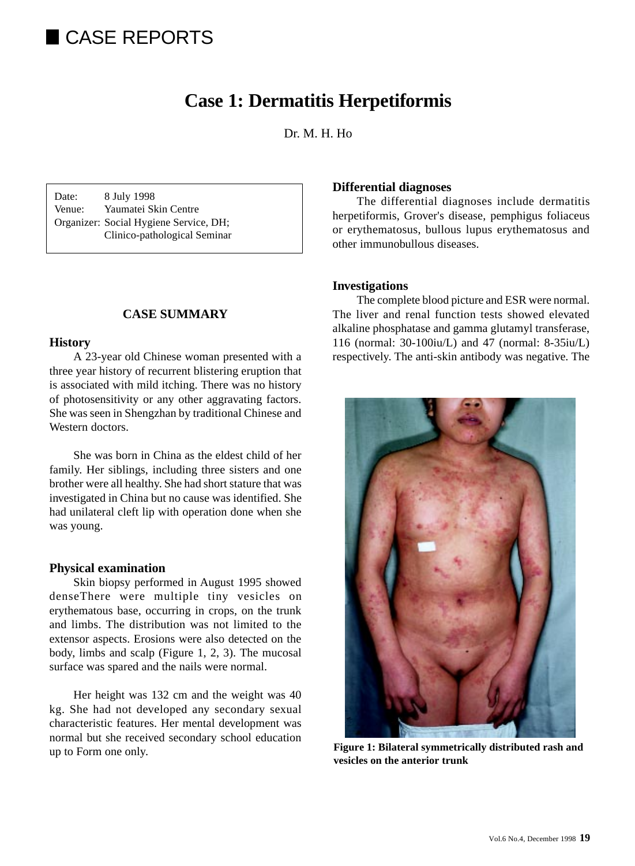# CASE REPORTS

## **Case 1: Dermatitis Herpetiformis**

Dr. M. H. Ho.

Date: 8 July 1998 Venue: Yaumatei Skin Centre Organizer: Social Hygiene Service, DH; Clinico-pathological Seminar

#### **CASE SUMMARY**

#### **History**

A 23-year old Chinese woman presented with a three year history of recurrent blistering eruption that is associated with mild itching. There was no history of photosensitivity or any other aggravating factors. She was seen in Shengzhan by traditional Chinese and Western doctors.

She was born in China as the eldest child of her family. Her siblings, including three sisters and one brother were all healthy. She had short stature that was investigated in China but no cause was identified. She had unilateral cleft lip with operation done when she was young.

#### **Physical examination**

Skin biopsy performed in August 1995 showed denseThere were multiple tiny vesicles on erythematous base, occurring in crops, on the trunk and limbs. The distribution was not limited to the extensor aspects. Erosions were also detected on the body, limbs and scalp (Figure 1, 2, 3). The mucosal surface was spared and the nails were normal.

Her height was 132 cm and the weight was 40 kg. She had not developed any secondary sexual characteristic features. Her mental development was normal but she received secondary school education up to Form one only.

#### **Differential diagnoses**

The differential diagnoses include dermatitis herpetiformis, Grover's disease, pemphigus foliaceus or erythematosus, bullous lupus erythematosus and other immunobullous diseases.

#### **Investigations**

The complete blood picture and ESR were normal. The liver and renal function tests showed elevated alkaline phosphatase and gamma glutamyl transferase, 116 (normal: 30-100iu/L) and 47 (normal: 8-35iu/L) respectively. The anti-skin antibody was negative. The



**Figure 1: Bilateral symmetrically distributed rash and vesicles on the anterior trunk**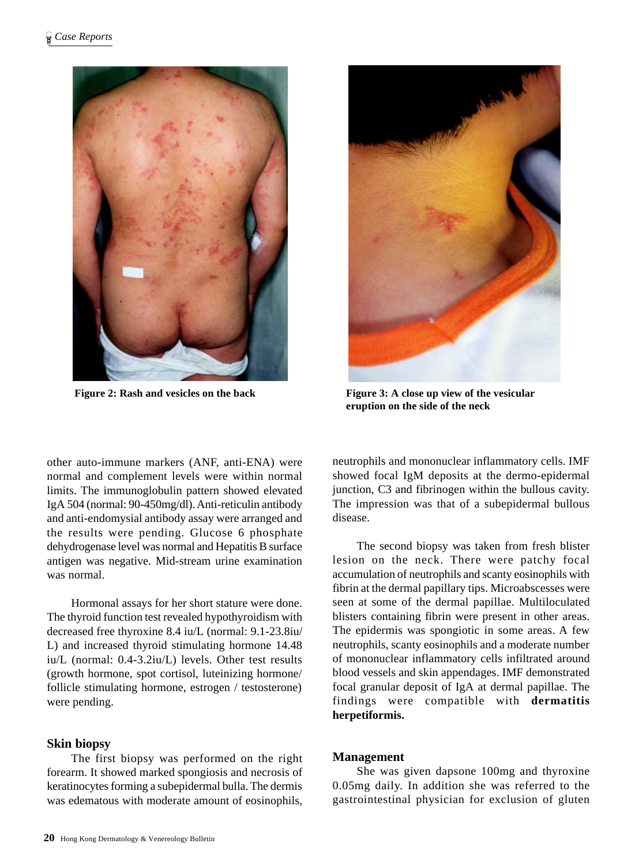



**Figure 2: Rash and vesicles on the back Figure 3: A close up view of the vesicular eruption on the side of the neck**

other auto-immune markers (ANF, anti-ENA) were normal and complement levels were within normal limits. The immunoglobulin pattern showed elevated IgA 504 (normal: 90-450mg/dl). Anti-reticulin antibody and anti-endomysial antibody assay were arranged and the results were pending. Glucose 6 phosphate dehydrogenase level was normal and Hepatitis B surface antigen was negative. Mid-stream urine examination was normal.

Hormonal assays for her short stature were done. The thyroid function test revealed hypothyroidism with decreased free thyroxine 8.4 iu/L (normal: 9.1-23.8iu/ L) and increased thyroid stimulating hormone 14.48 iu/L (normal: 0.4-3.2iu/L) levels. Other test results (growth hormone, spot cortisol, luteinizing hormone/ follicle stimulating hormone, estrogen / testosterone) were pending.

## **Skin biopsy**

The first biopsy was performed on the right forearm. It showed marked spongiosis and necrosis of keratinocytes forming a subepidermal bulla. The dermis was edematous with moderate amount of eosinophils,

neutrophils and mononuclear inflammatory cells. IMF showed focal IgM deposits at the dermo-epidermal junction, C3 and fibrinogen within the bullous cavity. The impression was that of a subepidermal bullous disease.

The second biopsy was taken from fresh blister lesion on the neck. There were patchy focal accumulation of neutrophils and scanty eosinophils with fibrin at the dermal papillary tips. Microabscesses were seen at some of the dermal papillae. Multiloculated blisters containing fibrin were present in other areas. The epidermis was spongiotic in some areas. A few neutrophils, scanty eosinophils and a moderate number of mononuclear inflammatory cells infiltrated around blood vessels and skin appendages. IMF demonstrated focal granular deposit of IgA at dermal papillae. The findings were compatible with **dermatitis herpetiformis.**

#### **Management**

She was given dapsone 100mg and thyroxine 0.05mg daily. In addition she was referred to the gastrointestinal physician for exclusion of gluten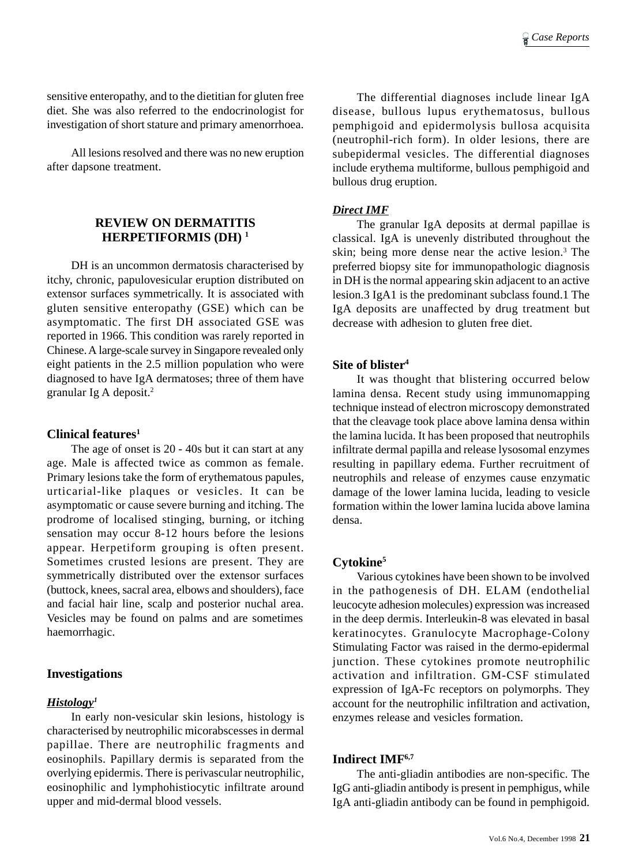sensitive enteropathy, and to the dietitian for gluten free diet. She was also referred to the endocrinologist for investigation of short stature and primary amenorrhoea.

All lesions resolved and there was no new eruption after dapsone treatment.

## **REVIEW ON DERMATITIS HERPETIFORMIS (DH) 1**

DH is an uncommon dermatosis characterised by itchy, chronic, papulovesicular eruption distributed on extensor surfaces symmetrically. It is associated with gluten sensitive enteropathy (GSE) which can be asymptomatic. The first DH associated GSE was reported in 1966. This condition was rarely reported in Chinese. A large-scale survey in Singapore revealed only eight patients in the 2.5 million population who were diagnosed to have IgA dermatoses; three of them have granular Ig A deposit.2

#### **Clinical features1**

The age of onset is 20 - 40s but it can start at any age. Male is affected twice as common as female. Primary lesions take the form of erythematous papules, urticarial-like plaques or vesicles. It can be asymptomatic or cause severe burning and itching. The prodrome of localised stinging, burning, or itching sensation may occur 8-12 hours before the lesions appear. Herpetiform grouping is often present. Sometimes crusted lesions are present. They are symmetrically distributed over the extensor surfaces (buttock, knees, sacral area, elbows and shoulders), face and facial hair line, scalp and posterior nuchal area. Vesicles may be found on palms and are sometimes haemorrhagic.

#### **Investigations**

## *Histology1*

In early non-vesicular skin lesions, histology is characterised by neutrophilic micorabscesses in dermal papillae. There are neutrophilic fragments and eosinophils. Papillary dermis is separated from the overlying epidermis. There is perivascular neutrophilic, eosinophilic and lymphohistiocytic infiltrate around upper and mid-dermal blood vessels.

The differential diagnoses include linear IgA disease, bullous lupus erythematosus, bullous pemphigoid and epidermolysis bullosa acquisita (neutrophil-rich form). In older lesions, there are subepidermal vesicles. The differential diagnoses include erythema multiforme, bullous pemphigoid and bullous drug eruption.

#### *Direct IMF*

The granular IgA deposits at dermal papillae is classical. IgA is unevenly distributed throughout the skin; being more dense near the active lesion.<sup>3</sup> The preferred biopsy site for immunopathologic diagnosis in DH is the normal appearing skin adjacent to an active lesion.3 IgA1 is the predominant subclass found.1 The IgA deposits are unaffected by drug treatment but decrease with adhesion to gluten free diet.

#### **Site of blister4**

It was thought that blistering occurred below lamina densa. Recent study using immunomapping technique instead of electron microscopy demonstrated that the cleavage took place above lamina densa within the lamina lucida. It has been proposed that neutrophils infiltrate dermal papilla and release lysosomal enzymes resulting in papillary edema. Further recruitment of neutrophils and release of enzymes cause enzymatic damage of the lower lamina lucida, leading to vesicle formation within the lower lamina lucida above lamina densa.

## **Cytokine5**

Various cytokines have been shown to be involved in the pathogenesis of DH. ELAM (endothelial leucocyte adhesion molecules) expression was increased in the deep dermis. Interleukin-8 was elevated in basal keratinocytes. Granulocyte Macrophage-Colony Stimulating Factor was raised in the dermo-epidermal junction. These cytokines promote neutrophilic activation and infiltration. GM-CSF stimulated expression of IgA-Fc receptors on polymorphs. They account for the neutrophilic infiltration and activation, enzymes release and vesicles formation.

#### **Indirect IMF6,7**

The anti-gliadin antibodies are non-specific. The IgG anti-gliadin antibody is present in pemphigus, while IgA anti-gliadin antibody can be found in pemphigoid.